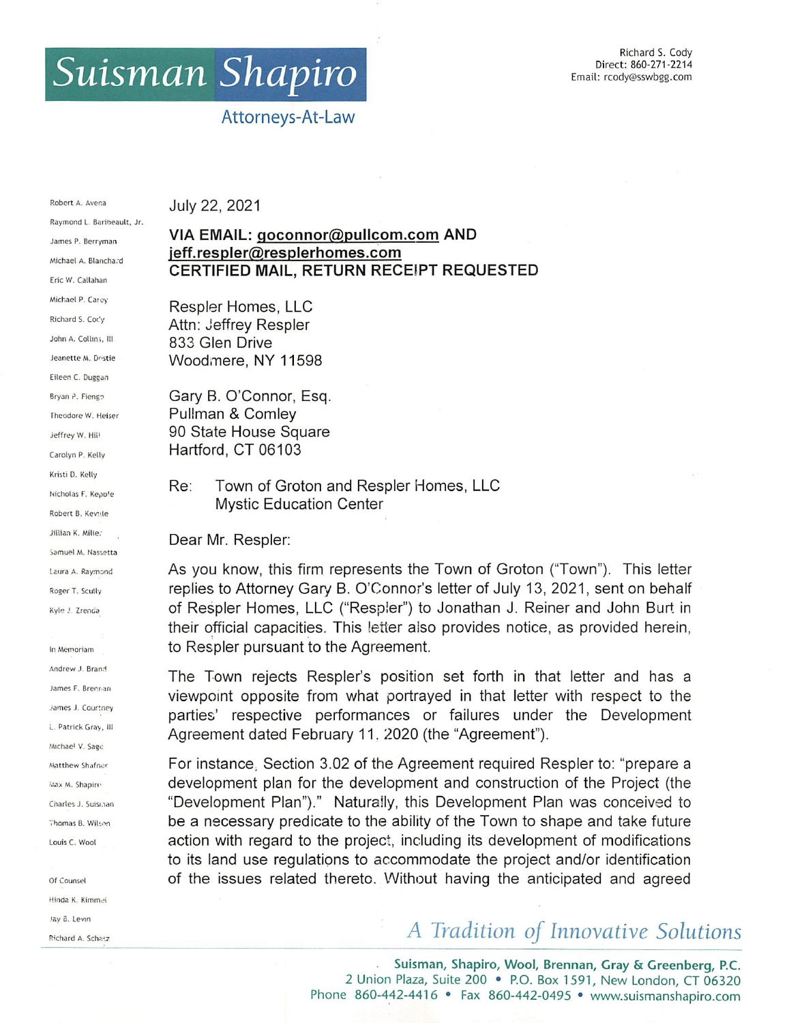## Suisman Shapiro

## Attorneys-At-Law

Robert A. Avena Raymond L Barineault, Jr. James P. Berryman Michael A. Blancha.d Eric W. Callahan Michael P. Carey Richard S. Coc'y John A. Collins, III Jeanette M. Dostie Eileen C. Ouggan Bryan P. Fiengo Theodore W. Heiser Jeffrey W. Hill Carolyn P. Kelly Kristi D. Kelly Nicholas F. Kepo'e Robert B. Kevile Jillian K. Mille. Samuel M. Nassetta Laura A. Raymond Roger T. Scully Kyle J. Zrenda

In Memoriam Andrew J. Brand James F. Srennan james J. Courtney i. Patrick Gray, III Michael V. Sage Matthew Shafner 'Aax M. Shapirc Charles J. Suisi.ian Thomas B. Wilson Louis C. Wool

Of Counsel Hinda K. Kimmel Jay 8. Levin Richard A. Schatz July 22, 2021

## VIA EMAIL: goconnor@pullcom.com AND jeff.respler@resplerhomes.com CERTIFIED MAIL, RETURN RECEIPT REQUESTED

Respier Homes, LLC Attn: Jeffrey Respier 833 Glen Drive Woodmere, NY 11598

Gary B. O'Connor, Esq. Pullman & Comley 90 State House Square Hartford. CT 06103

Re: Town of Groton and Respier Homes. LLC Mystic Education Center

Dear Mr. Respier:

As you know, this firm represents the Town of Groton ("Town"). This letter replies to Attorney Gary B. O'Connor's letter of July 13, 2021, sent on behalf of Respier Homes. LLC ("Respier") to Jonathan J. Reiner and John Burt in their official capacities. This letter also provides notice, as provided herein, to Respier pursuant to the Agreement.

The Town rejects Respler's position set forth in that letter and has a viewpoint opposite from what portrayed in that letter with respect to the parties' respective performances or failures under the Development Agreement dated February 11. 2020 (the "Agreement").

For instance, Section 3.02 of the Agreement required Respier to: "prepare a development plan for the development and construction of the Project (the "Development Plan")." Naturally, this Development Plan was conceived to be a necessary predicate to the ability of the Town to shape and take future action with regard to the project, including its development of modifications to its land use regulations to accommodate the project and/or identification of the issues related thereto. Without having the anticipated and agreed

## A Tradition of Innovative Solutions

Suisman, Shapiro, Wool, Brennan, Gray & Greenberg, P.C. 2 Union Plaza, Suite 200 • P.O. Box 1591, New London, CT 06320 Phone 860-442-4416 • Fax 860-442-0495 • www.suismanshapiro.com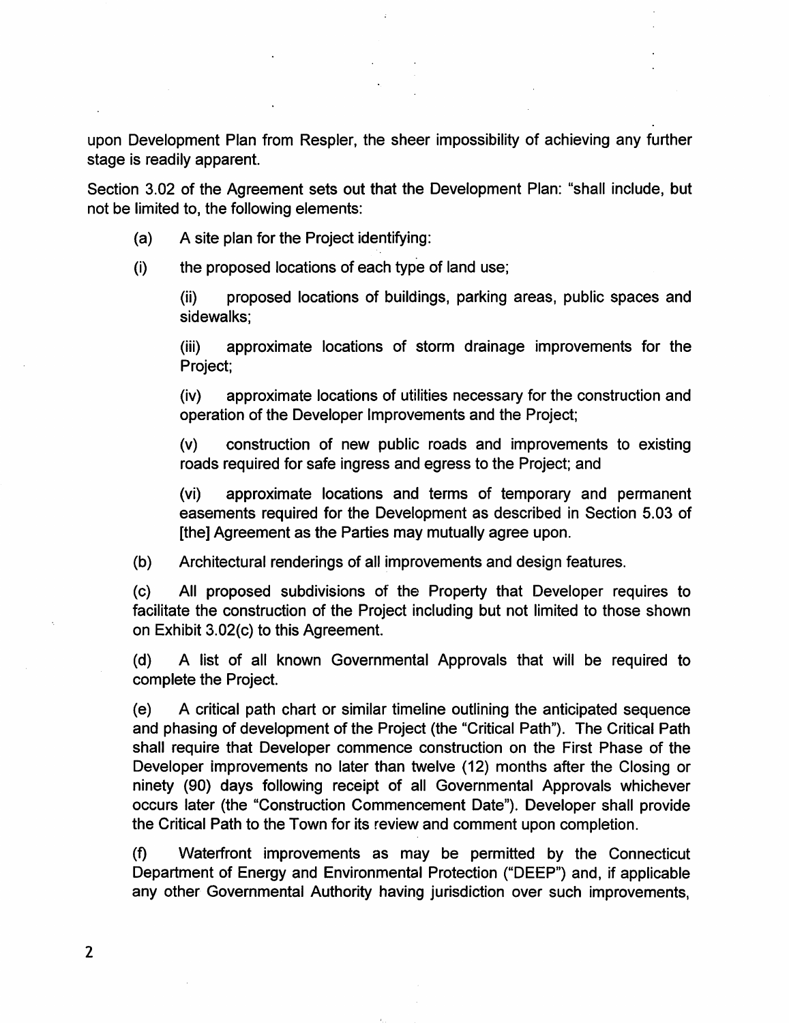upon Development Plan from Respler, the sheer impossibility of achieving any further stage is readily apparent.

Section 3.02 of the Agreement sets out that the Development Plan: "shall include, but not be limited to, the following elements:

- (a) A site plan for the Project identifying:
- (i) the proposed locations of each type of land use;

(ii) proposed locations of buildings, parking areas, public spaces and sidewalks;

(iii) approximate locations of storm drainage improvements for the Project;

(iv) approximate locations of utilities necessary for the construction and operation of the Developer Improvements and the Project;

(v) construction of new public roads and improvements to existing roads required for safe ingress and egress to the Project; and

(vi) approximate locations and terms of temporary and permanent easements required for the Development as described in Section 5.03 of [the] Agreement as the Parties may mutually agree upon.

(b) Architectural renderings of all improvements and design features.

(c) All proposed subdivisions of the Property that Developer requires to facilitate the construction of the Project including but not limited to those shown on Exhibit 3.02(c) to this Agreement.

(d) A list of all known Governmental Approvals that will be required to complete the Project.

(e) A critical path chart or similar timeline outlining the anticipated sequence and phasing of development of the Project (the "Critical Path"). The Critical Path shall require that Developer commence construction on the First Phase of the Developer improvements no later than twelve (12) months after the Closing or ninety (90) days following receipt of all Governmental Approvals whichever occurs later (the "Construction Commencement Date"). Developer shall provide the Critical Path to the Town for its review and comment upon completion.

(f) Waterfront improvements as may be permitted by the Connecticut Department of Energy and Environmental Protection ("DEEP") and, if applicable any other Governmental Authority having jurisdiction over such improvements.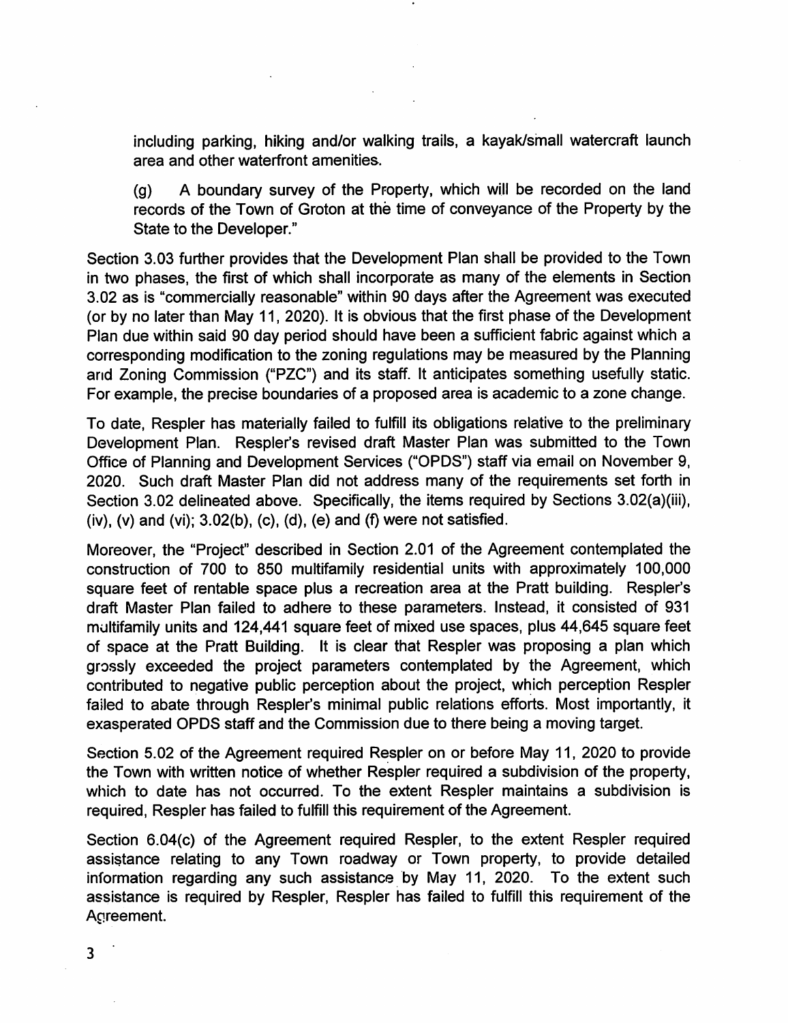including parking, hiking and/or walking trails, a kayak/small watercraft launch area and other waterfront amenities.

(g) A boundary survey of the Property, which will be recorded on the land records of the Town of Groton at the time of conveyance of the Property by the State to the Developer."

Section 3.03 further provides that the Development Plan shall be provided to the Town in two phases, the first of which shall incorporate as many of the elements in Section 3.02 as is "commercially reasonable" within 90 days after the Agreement was executed (or by no later than May 11, 2020). It is obvious that the first phase of the Development Plan due within said 90 day period should have been a sufficient fabric against which a corresponding modification to the zoning regulations may be measured by the Planning and Zoning Commission ("PZC") and its staff. It anticipates something usefully static. For example, the precise boundaries of a proposed area is academic to a zone change.

To date, Respler has materially failed to fulfill its obligations relative to the preliminary Development Plan. Respler's revised draft Master Plan was submitted to the Town Office of Planning and Development Services ("OPDS") staff via email on November 9, 2020. Such draft Master Plan did not address many of the requirements set forth in Section 3.02 delineated above. Specifically, the items required by Sections 3.02(a)(iii), (iv),  $(v)$  and  $(vi)$ ;  $3.02(b)$ ,  $(c)$ ,  $(d)$ ,  $(e)$  and  $(f)$  were not satisfied.

Moreover, the "Project" described in Section 2.01 of the Agreement contemplated the construction of 700 to 850 multifamily residential units with approximately 100,000 square feet of rentable space plus a recreation area at the Pratt building. Respler's draft Master Plan failed to adhere to these parameters. Instead, it consisted of 931 multifamily units and 124,441 square feet of mixed use spaces, plus 44,645 square feet of space at the Pratt Building. It is clear that Respler was proposing a plan which grossly exceeded the project parameters contemplated by the Agreement, which contributed to negative public perception about the project, which perception Respler failed to abate through Respler's minimal public relations efforts. Most importantly, it exasperated OPDS staff and the Commission due to there being a moving target.

Section 5.02 of the Agreement required Respler on or before May 11, 2020 to provide the Town with written notice of whether Respler required a subdivision of the property, which to date has not occurred. To the extent Respler maintains a subdivision is required, Respler has failed to fulfill this requirement of the Agreement.

Section 6.04(c) of the Agreement required Respler, to the extent Respler required assistance relating to any Town roadway or Town property, to provide detailed information regarding any such assistance by May 11, 2020. To the extent such assistance is required by Respler, Respler has failed to fulfill this requirement of the Agreement.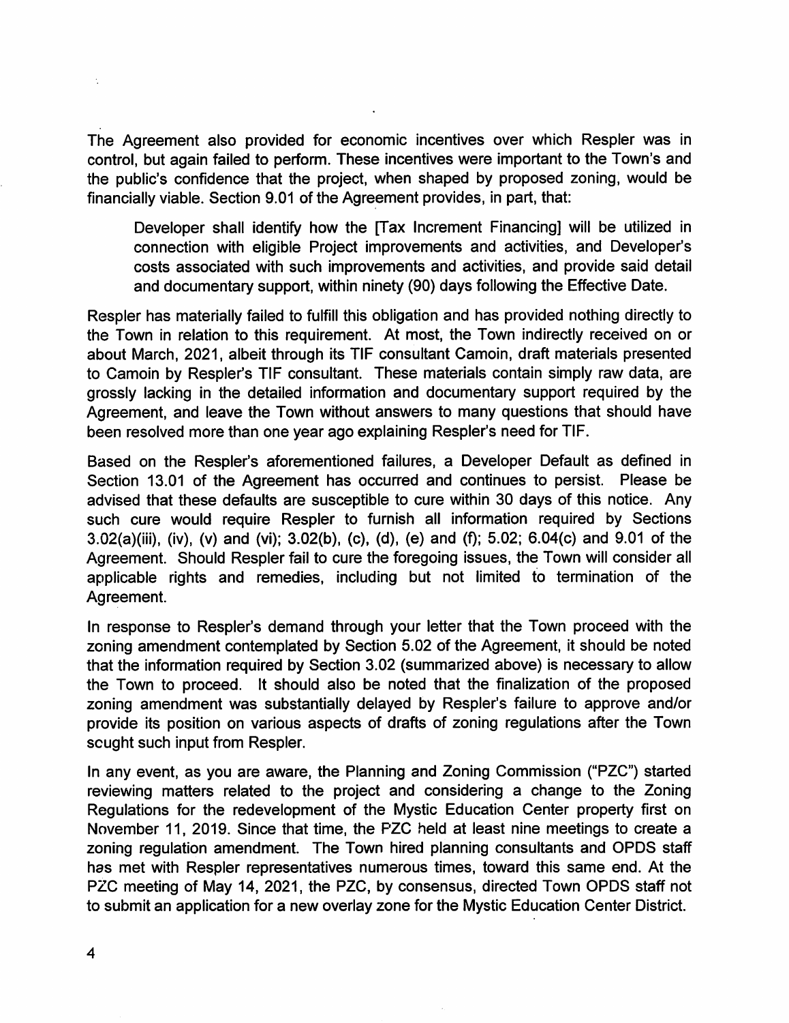The Agreement also provided for economic incentives over which Respler was in control, but again failed to perform. These incentives were important to the Town's and the public's confidence that the project, when shaped by proposed zoning, would be financially viable. Section 9.01 of the Agreement provides, in part, that:

Developer shall identify how the [Tax Increment Financing] will be utilized in connection with eligible Project improvements and activities, and Developer's costs associated with such improvements and activities, and provide said detail and documentary support, within ninety (90) days following the Effective Date.

Respler has materially failed to fulfill this obligation and has provided nothing directly to the Town in relation to this requirement. At most, the Town indirectly received on or about March, 2021, albeit through its TIP consultant Camoin, draft materials presented to Camoin by Respler's TIF consultant. These materials contain simply raw data, are grossly lacking in the detailed information and documentary support required by the Agreement, and leave the Town without answers to many questions that should have been resolved more than one year ago explaining Respler's need for TIP.

Based on the Respler's aforementioned failures, a Developer Default as defined in Section 13.01 of the Agreement has occurred and continues to persist. Please be advised that these defaults are susceptible to cure within 30 days of this notice. Any such cure would require Respler to furnish all information required by Sections 3.02(a)(iii), (iv), (v) and (vi); 3.02(b), (c), (d), (e) and (f); 5.02; 6.04(c) and 9.01 of the Agreement. Should Respler fail to cure the foregoing issues, the Town will consider all applicable rights and remedies, including but not limited to termination of the Agreement.

In response to Respler's demand through your letter that the Town proceed with the zoning amendment contemplated by Section 5.02 of the Agreement, it should be noted that the information required by Section 3.02 (summarized above) is necessary to allow the Town to proceed. It should also be noted that the finalization of the proposed zoning amendment was substantially delayed by Respler's failure to approve and/or provide its position on various aspects of drafts of zoning regulations after the Town scught such input from Respler.

In any event, as you are aware, the Planning and Zoning Commission ("PZC") started reviewing matters related to the project and considering a change to the Zoning Regulations for the redevelopment of the Mystic Education Center property first on November 11, 2019. Since that time, the PZC held at least nine meetings to create a zoning regulation amendment. The Town hired planning consultants and OPDS staff has met with Respler representatives numerous times, toward this same end. At the PZC meeting of May 14, 2021, the PZC, by consensus, directed Town OPDS staff not to submit an application for a new overlay zone for the Mystic Education Center District.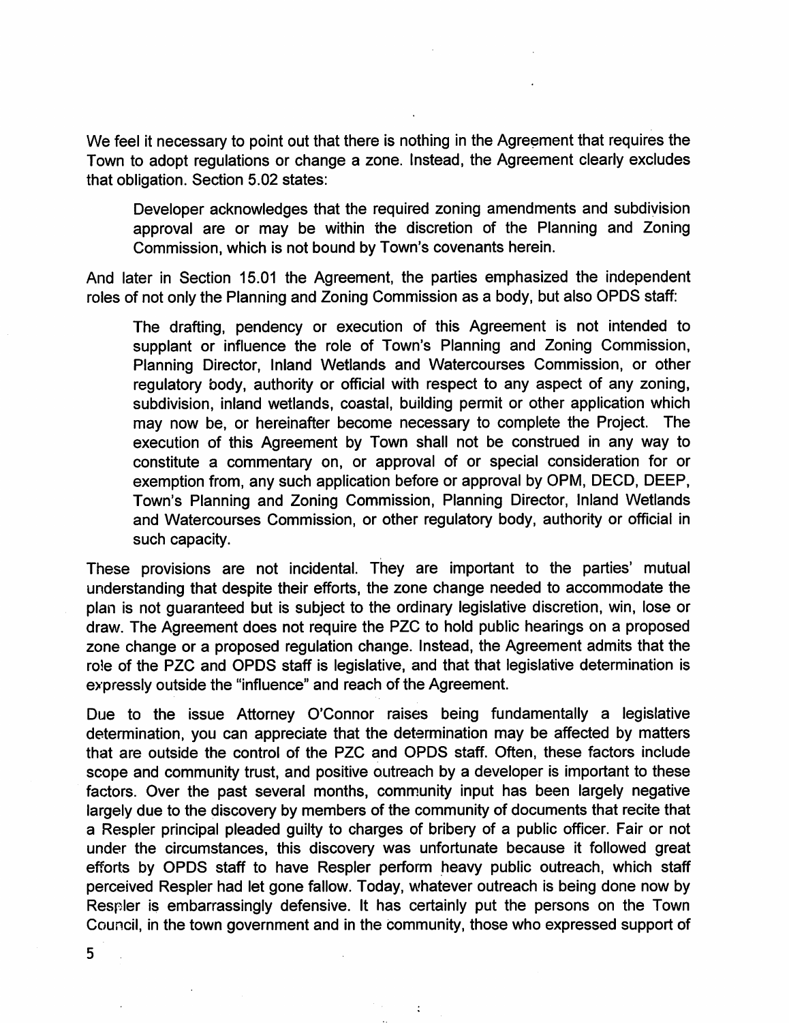We feel it necessary to point out that there is nothing in the Agreement that requires the Town to adopt regulations or change a zone. Instead, the Agreement clearly excludes that obligation. Section 5.02 states:

Developer acknowledges that the required zoning amendments and subdivision approval are or may be within the discretion of the Planning and Zoning Commission, which is not bound by Town's covenants herein.

And later in Section 15.01 the Agreement, the parties emphasized the independent roles of not only the Planning and Zoning Commission as a body, but also OPDS staff:

The drafting, pendency or execution of this Agreement is not intended to supplant or influence the role of Town's Planning and Zoning Commission, Planning Director, Inland Wetlands and Watercourses Commission, or other regulatory body, authority or official with respect to any aspect of any zoning, subdivision, inland wetlands, coastal, building permit or other application which may now be, or hereinafter become necessary to complete the Project. The execution of this Agreement by Town shall not be construed in any way to constitute a commentary on, or approval of or special consideration for or exemption from, any such application before or approval by 0PM, DECD, DEEP, Town's Planning and Zoning Commission, Planning Director, Inland Wetlands and Watercourses Commission, or other regulatory body, authority or official in such capacity.

These provisions are not incidental. They are important to the parties' mutual understanding that despite their efforts, the zone change needed to accommodate the plan is not guaranteed but is subject to the ordinary legislative discretion, win, lose or draw. The Agreement does not require the PZC to hold public hearings on a proposed zone change or a proposed regulation change. Instead, the Agreement admits that the role of the PZC and OPDS staff is legislative, and that that legislative determination is expressly outside the "influence" and reach of the Agreement.

Due to the issue Attorney O'Connor raises being fundamentally a legislative determination, you can appreciate that the determination may be affected by matters that are outside the control of the PZC and OPDS staff. Often, these factors include scope and community trust, and positive outreach by a developer is important to these factors. Over the past several months, community input has been largely negative largely due to the discovery by members of the community of documents that recite that a Respler principal pleaded guilty to charges of bribery of a public officer. Fair or not under the circumstances, this discovery was unfortunate because it followed great efforts by OPDS staff to have Respler perform heavy public outreach, which staff perceived Respler had let gone fallow. Today, whatever outreach is being done now by Respler is embarrassingly defensive. It has certainly put the persons on the Town Council, in the town government and in the community, those who expressed support of

 $\ddot{\cdot}$ 

5

 $\ddot{\phantom{a}}$